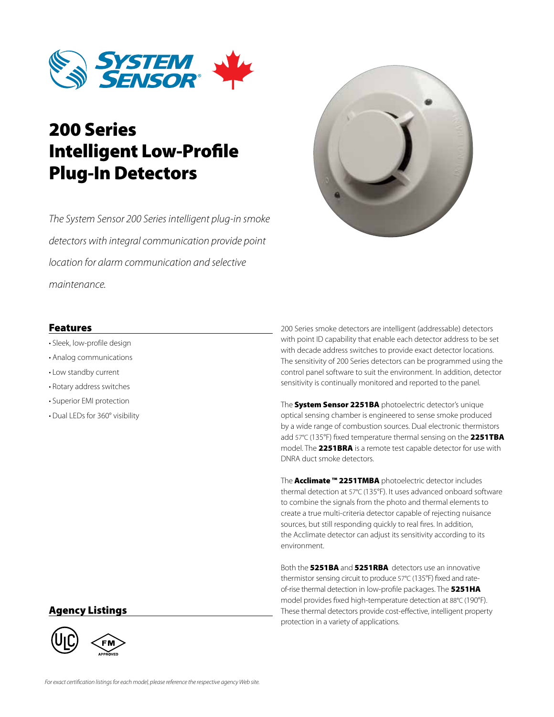

# 200 Series Intelligent Low-Profile Plug-In Detectors

*The System Sensor 200 Series intelligent plug-in smoke detectors with integral communication provide point location for alarm communication and selective maintenance.*



#### Features

- Sleek, low-profile design
- Analog communications
- Low standby current
- Rotary address switches
- Superior EMI protection
- Dual LEDs for 360° visibility

200 Series smoke detectors are intelligent (addressable) detectors with point ID capability that enable each detector address to be set with decade address switches to provide exact detector locations. The sensitivity of 200 Series detectors can be programmed using the control panel software to suit the environment. In addition, detector sensitivity is continually monitored and reported to the panel.

The System Sensor 2251BA photoelectric detector's unique optical sensing chamber is engineered to sense smoke produced by a wide range of combustion sources. Dual electronic thermistors add 57°C (135°F) fixed temperature thermal sensing on the 2251TBA model. The 2251BRA is a remote test capable detector for use with DNRA duct smoke detectors.

The **Acclimate ™ 2251TMBA** photoelectric detector includes thermal detection at 57°C (135°F). It uses advanced onboard software to combine the signals from the photo and thermal elements to create a true multi-criteria detector capable of rejecting nuisance sources, but still responding quickly to real fires. In addition, the Acclimate detector can adjust its sensitivity according to its environment.

Both the 5251BA and 5251RBA detectors use an innovative thermistor sensing circuit to produce 57°C (135°F) fixed and rateof-rise thermal detection in low-profile packages. The 5251HA model provides fixed high-temperature detection at 88°C (190°F). These thermal detectors provide cost-effective, intelligent property protection in a variety of applications.

#### Agency Listings